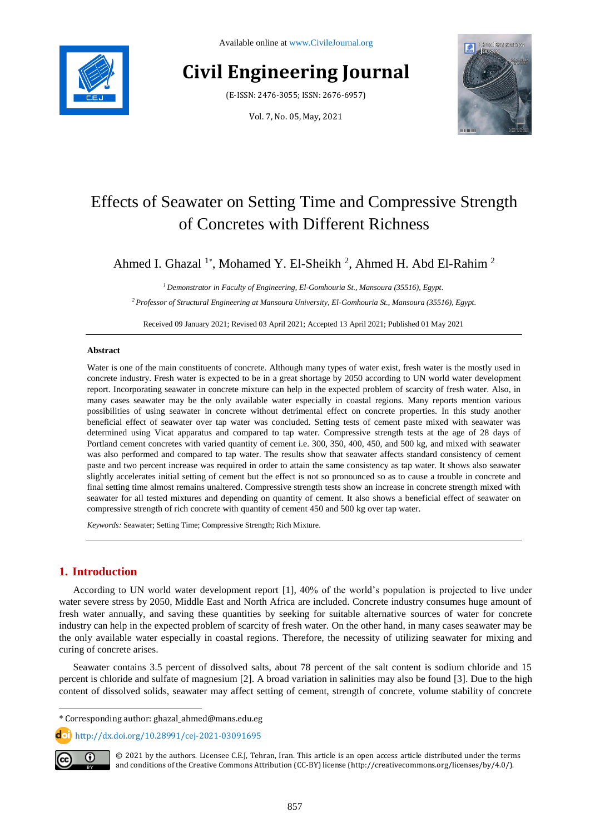

Available online at [www.CivileJournal.org](http://www.civilejournal.org/)

# **Civil Engineering Journal**

(E-ISSN: 2476-3055; ISSN: 2676-6957)

Vol. 7, No. 05, May, 2021



## Effects of Seawater on Setting Time and Compressive Strength of Concretes with Different Richness

Ahmed I. Ghazal<sup>1\*</sup>, Mohamed Y. El-Sheikh<sup>2</sup>, Ahmed H. Abd El-Rahim<sup>2</sup>

*<sup>1</sup> Demonstrator in Faculty of Engineering, El-Gomhouria St., Mansoura (35516), Egypt. <sup>2</sup> Professor of Structural Engineering at Mansoura University, El-Gomhouria St., Mansoura (35516), Egypt.*

Received 09 January 2021; Revised 03 April 2021; Accepted 13 April 2021; Published 01 May 2021

#### **Abstract**

Water is one of the main constituents of concrete. Although many types of water exist, fresh water is the mostly used in concrete industry. Fresh water is expected to be in a great shortage by 2050 according to UN world water development report. Incorporating seawater in concrete mixture can help in the expected problem of scarcity of fresh water. Also, in many cases seawater may be the only available water especially in coastal regions. Many reports mention various possibilities of using seawater in concrete without detrimental effect on concrete properties. In this study another beneficial effect of seawater over tap water was concluded. Setting tests of cement paste mixed with seawater was determined using Vicat apparatus and compared to tap water. Compressive strength tests at the age of 28 days of Portland cement concretes with varied quantity of cement i.e. 300, 350, 400, 450, and 500 kg, and mixed with seawater was also performed and compared to tap water. The results show that seawater affects standard consistency of cement paste and two percent increase was required in order to attain the same consistency as tap water. It shows also seawater slightly accelerates initial setting of cement but the effect is not so pronounced so as to cause a trouble in concrete and final setting time almost remains unaltered. Compressive strength tests show an increase in concrete strength mixed with seawater for all tested mixtures and depending on quantity of cement. It also shows a beneficial effect of seawater on compressive strength of rich concrete with quantity of cement 450 and 500 kg over tap water.

*Keywords:* Seawater; Setting Time; Compressive Strength; Rich Mixture.

## **1. Introduction**

According to UN world water development report [1], 40% of the world's population is projected to live under water severe stress by 2050, Middle East and North Africa are included. Concrete industry consumes huge amount of fresh water annually, and saving these quantities by seeking for suitable alternative sources of water for concrete industry can help in the expected problem of scarcity of fresh water. On the other hand, in many cases seawater may be the only available water especially in coastal regions. Therefore, the necessity of utilizing seawater for mixing and curing of concrete arises.

Seawater contains 3.5 percent of dissolved salts, about 78 percent of the salt content is sodium chloride and 15 percent is chloride and sulfate of magnesium [2]. A broad variation in salinities may also be found [3]. Due to the high content of dissolved solids, seawater may affect setting of cement, strength of concrete, volume stability of concrete

http://dx.doi.org/10.28991/cej-2021-03091695



l

© 2021 by the authors. Licensee C.E.J, Tehran, Iran. This article is an open access article distributed under the terms and conditions of the Creative Commons Attribution (CC-BY) license (http:/[/creativecommons.org/](http://creativecommons.org/)licenses/by/4.0/).

<sup>\*</sup> Corresponding author: ghazal\_ahmed@mans.edu.eg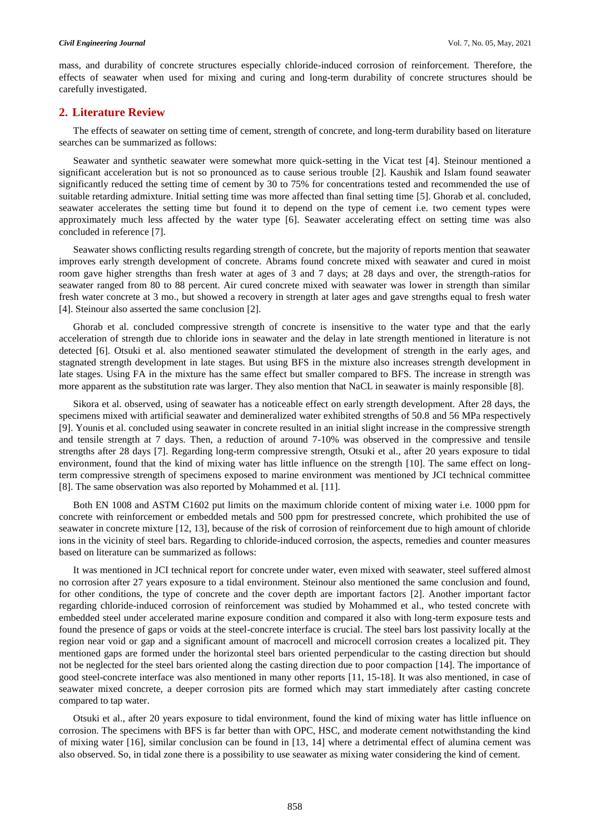mass, and durability of concrete structures especially chloride-induced corrosion of reinforcement. Therefore, the effects of seawater when used for mixing and curing and long-term durability of concrete structures should be carefully investigated.

## **2. Literature Review**

The effects of seawater on setting time of cement, strength of concrete, and long-term durability based on literature searches can be summarized as follows:

Seawater and synthetic seawater were somewhat more quick-setting in the Vicat test [4]. Steinour mentioned a significant acceleration but is not so pronounced as to cause serious trouble [2]. Kaushik and Islam found seawater significantly reduced the setting time of cement by 30 to 75% for concentrations tested and recommended the use of suitable retarding admixture. Initial setting time was more affected than final setting time [5]. Ghorab et al. concluded, seawater accelerates the setting time but found it to depend on the type of cement i.e. two cement types were approximately much less affected by the water type [6]. Seawater accelerating effect on setting time was also concluded in reference [7].

Seawater shows conflicting results regarding strength of concrete, but the majority of reports mention that seawater improves early strength development of concrete. Abrams found concrete mixed with seawater and cured in moist room gave higher strengths than fresh water at ages of 3 and 7 days; at 28 days and over, the strength-ratios for seawater ranged from 80 to 88 percent. Air cured concrete mixed with seawater was lower in strength than similar fresh water concrete at 3 mo., but showed a recovery in strength at later ages and gave strengths equal to fresh water [4]. Steinour also asserted the same conclusion [2].

Ghorab et al. concluded compressive strength of concrete is insensitive to the water type and that the early acceleration of strength due to chloride ions in seawater and the delay in late strength mentioned in literature is not detected [6]. Otsuki et al. also mentioned seawater stimulated the development of strength in the early ages, and stagnated strength development in late stages. But using BFS in the mixture also increases strength development in late stages. Using FA in the mixture has the same effect but smaller compared to BFS. The increase in strength was more apparent as the substitution rate was larger. They also mention that NaCL in seawater is mainly responsible [8].

Sikora et al. observed, using of seawater has a noticeable effect on early strength development. After 28 days, the specimens mixed with artificial seawater and demineralized water exhibited strengths of 50.8 and 56 MPa respectively [9]. Younis et al. concluded using seawater in concrete resulted in an initial slight increase in the compressive strength and tensile strength at 7 days. Then, a reduction of around 7-10% was observed in the compressive and tensile strengths after 28 days [7]. Regarding long-term compressive strength, Otsuki et al., after 20 years exposure to tidal environment, found that the kind of mixing water has little influence on the strength [10]. The same effect on longterm compressive strength of specimens exposed to marine environment was mentioned by JCI technical committee [8]. The same observation was also reported by Mohammed et al. [11].

Both EN 1008 and ASTM C1602 put limits on the maximum chloride content of mixing water i.e. 1000 ppm for concrete with reinforcement or embedded metals and 500 ppm for prestressed concrete, which prohibited the use of seawater in concrete mixture [12, 13], because of the risk of corrosion of reinforcement due to high amount of chloride ions in the vicinity of steel bars. Regarding to chloride-induced corrosion, the aspects, remedies and counter measures based on literature can be summarized as follows:

It was mentioned in JCI technical report for concrete under water, even mixed with seawater, steel suffered almost no corrosion after 27 years exposure to a tidal environment. Steinour also mentioned the same conclusion and found, for other conditions, the type of concrete and the cover depth are important factors [2]. Another important factor regarding chloride-induced corrosion of reinforcement was studied by Mohammed et al., who tested concrete with embedded steel under accelerated marine exposure condition and compared it also with long-term exposure tests and found the presence of gaps or voids at the steel-concrete interface is crucial. The steel bars lost passivity locally at the region near void or gap and a significant amount of macrocell and microcell corrosion creates a localized pit. They mentioned gaps are formed under the horizontal steel bars oriented perpendicular to the casting direction but should not be neglected for the steel bars oriented along the casting direction due to poor compaction [14]. The importance of good steel-concrete interface was also mentioned in many other reports [11, 15-18]. It was also mentioned, in case of seawater mixed concrete, a deeper corrosion pits are formed which may start immediately after casting concrete compared to tap water.

Otsuki et al., after 20 years exposure to tidal environment, found the kind of mixing water has little influence on corrosion. The specimens with BFS is far better than with OPC, HSC, and moderate cement notwithstanding the kind of mixing water [16], similar conclusion can be found in [13, 14] where a detrimental effect of alumina cement was also observed. So, in tidal zone there is a possibility to use seawater as mixing water considering the kind of cement.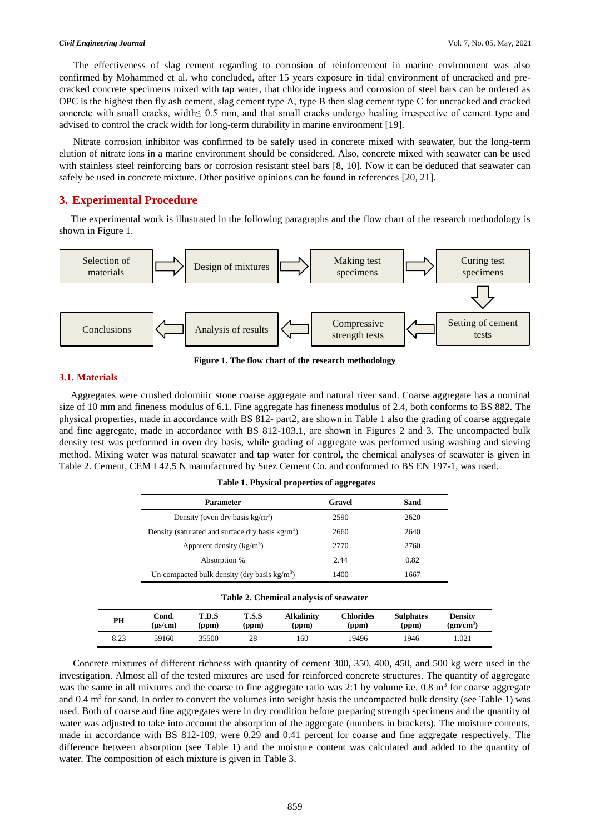#### *Civil Engineering Journal* Vol. 7, No. 05, May, 2021

The effectiveness of slag cement regarding to corrosion of reinforcement in marine environment was also confirmed by Mohammed et al. who concluded, after 15 years exposure in tidal environment of uncracked and precracked concrete specimens mixed with tap water, that chloride ingress and corrosion of steel bars can be ordered as OPC is the highest then fly ash cement, slag cement type A, type B then slag cement type C for uncracked and cracked concrete with small cracks, width≤ 0.5 mm, and that small cracks undergo healing irrespective of cement type and advised to control the crack width for long-term durability in marine environment [19].

Nitrate corrosion inhibitor was confirmed to be safely used in concrete mixed with seawater, but the long-term elution of nitrate ions in a marine environment should be considered. Also, concrete mixed with seawater can be used with stainless steel reinforcing bars or corrosion resistant steel bars [8, 10]. Now it can be deduced that seawater can safely be used in concrete mixture. Other positive opinions can be found in references [20, 21].

## **3. Experimental Procedure**

The experimental work is illustrated in the following paragraphs and the flow chart of the research methodology is shown in Figure 1.



**Figure 1. The flow chart of the research methodology**

#### **3.1. Materials**

Aggregates were crushed dolomitic stone coarse aggregate and natural river sand. Coarse aggregate has a nominal size of 10 mm and fineness modulus of 6.1. Fine aggregate has fineness modulus of 2.4, both conforms to BS 882. The physical properties, made in accordance with BS 812- part2, are shown in Table 1 also the grading of coarse aggregate and fine aggregate, made in accordance with BS 812-103.1, are shown in Figures 2 and 3. The uncompacted bulk density test was performed in oven dry basis, while grading of aggregate was performed using washing and sieving method. Mixing water was natural seawater and tap water for control, the chemical analyses of seawater is given in Table 2. Cement, CEM I 42.5 N manufactured by Suez Cement Co. and conformed to BS EN 197-1, was used.

| <b>Parameter</b>                                   | Gravel | Sand |
|----------------------------------------------------|--------|------|
| Density (oven dry basis $kg/m3$ )                  | 2590   | 2620 |
| Density (saturated and surface dry basis $kg/m3$ ) | 2660   | 2640 |
| Apparent density $(kg/m3)$                         | 2770   | 2760 |
| Absorption %                                       | 2.44   | 0.82 |
| Un compacted bulk density (dry basis $kg/m3$ )     | 1400   | 1667 |

**Table 1. Physical properties of aggregates** 

#### **Table 2. Chemical analysis of seawater**

| PН   | Cond.   | T.D.S | T.S.S | <b>Alkalinity</b> | Chlorides | <b>Sulphates</b> | Density                                    |
|------|---------|-------|-------|-------------------|-----------|------------------|--------------------------------------------|
|      | (us/cm) | (ppm) | (ppm) | (ppm)             | (ppm)     | (ppm)            | $\rm \left( \text{gm}/\text{cm}^3 \right)$ |
| 8.23 | 59160   | 35500 | 28    | 160               | 19496     | 1946             | 1.021                                      |

Concrete mixtures of different richness with quantity of cement 300, 350, 400, 450, and 500 kg were used in the investigation. Almost all of the tested mixtures are used for reinforced concrete structures. The quantity of aggregate was the same in all mixtures and the coarse to fine aggregate ratio was  $2:1$  by volume i.e.  $0.8 \text{ m}^3$  for coarse aggregate and 0.4  $\text{m}^3$  for sand. In order to convert the volumes into weight basis the uncompacted bulk density (see Table 1) was used. Both of coarse and fine aggregates were in dry condition before preparing strength specimens and the quantity of water was adjusted to take into account the absorption of the aggregate (numbers in brackets). The moisture contents, made in accordance with BS 812-109, were 0.29 and 0.41 percent for coarse and fine aggregate respectively. The difference between absorption (see Table 1) and the moisture content was calculated and added to the quantity of water. The composition of each mixture is given in Table 3.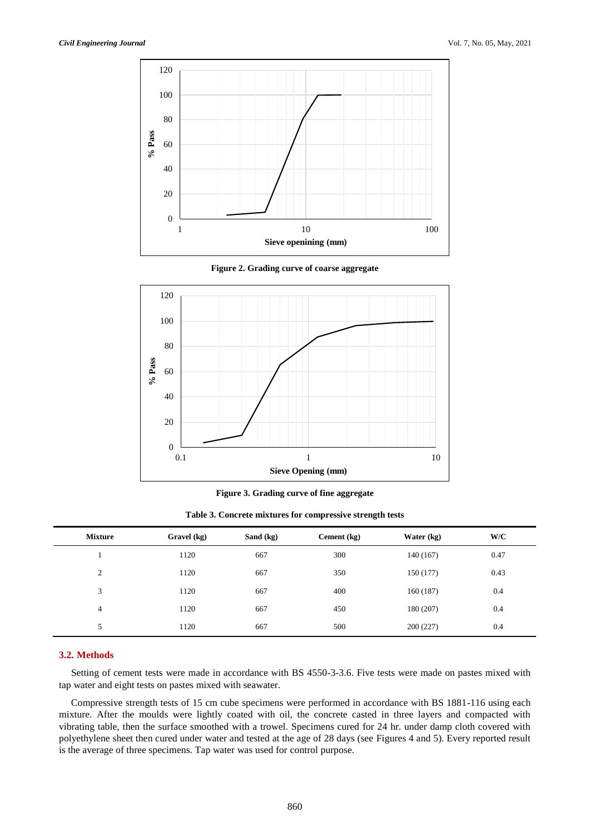

**Figure 2. Grading curve of coarse aggregate**



**Figure 3. Grading curve of fine aggregate**

**Table 3. Concrete mixtures for compressive strength tests**

| <b>Mixture</b> | Gravel (kg) | Sand (kg) | Cement (kg) | Water (kg) | W/C  |
|----------------|-------------|-----------|-------------|------------|------|
|                | 1120        | 667       | 300         | 140 (167)  | 0.47 |
| 2              | 1120        | 667       | 350         | 150 (177)  | 0.43 |
| 3              | 1120        | 667       | 400         | 160(187)   | 0.4  |
| 4              | 1120        | 667       | 450         | 180 (207)  | 0.4  |
| 5              | 1120        | 667       | 500         | 200(227)   | 0.4  |

### **3.2. Methods**

Setting of cement tests were made in accordance with BS 4550-3-3.6. Five tests were made on pastes mixed with tap water and eight tests on pastes mixed with seawater.

Compressive strength tests of 15 cm cube specimens were performed in accordance with BS 1881-116 using each mixture. After the moulds were lightly coated with oil, the concrete casted in three layers and compacted with vibrating table, then the surface smoothed with a trowel. Specimens cured for 24 hr. under damp cloth covered with polyethylene sheet then cured under water and tested at the age of 28 days (see Figures 4 and 5). Every reported result is the average of three specimens. Tap water was used for control purpose.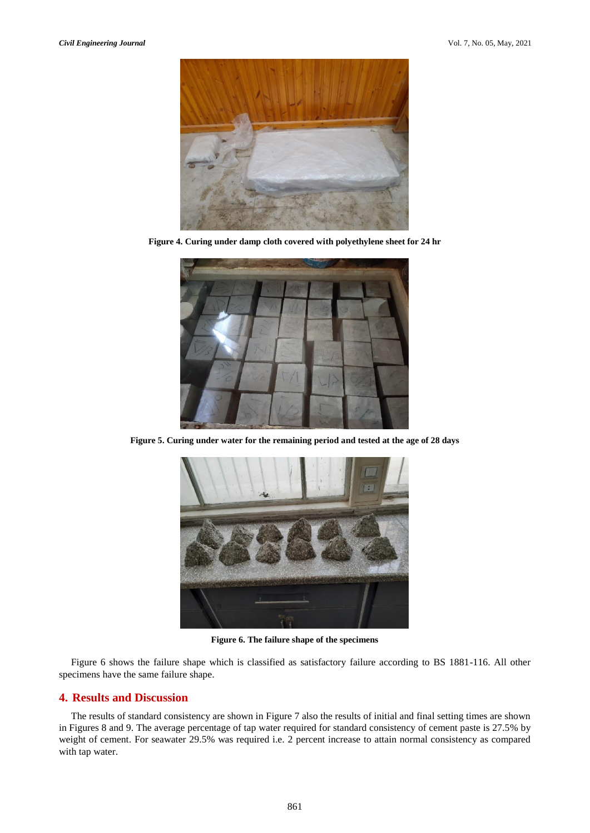

**Figure 4. Curing under damp cloth covered with polyethylene sheet for 24 hr**



**Figure 5. Curing under water for the remaining period and tested at the age of 28 days**



**Figure 6. The failure shape of the specimens**

Figure 6 shows the failure shape which is classified as satisfactory failure according to BS 1881-116. All other specimens have the same failure shape.

## **4. Results and Discussion**

The results of standard consistency are shown in Figure 7 also the results of initial and final setting times are shown in Figures 8 and 9. The average percentage of tap water required for standard consistency of cement paste is 27.5% by weight of cement. For seawater 29.5% was required i.e. 2 percent increase to attain normal consistency as compared with tap water.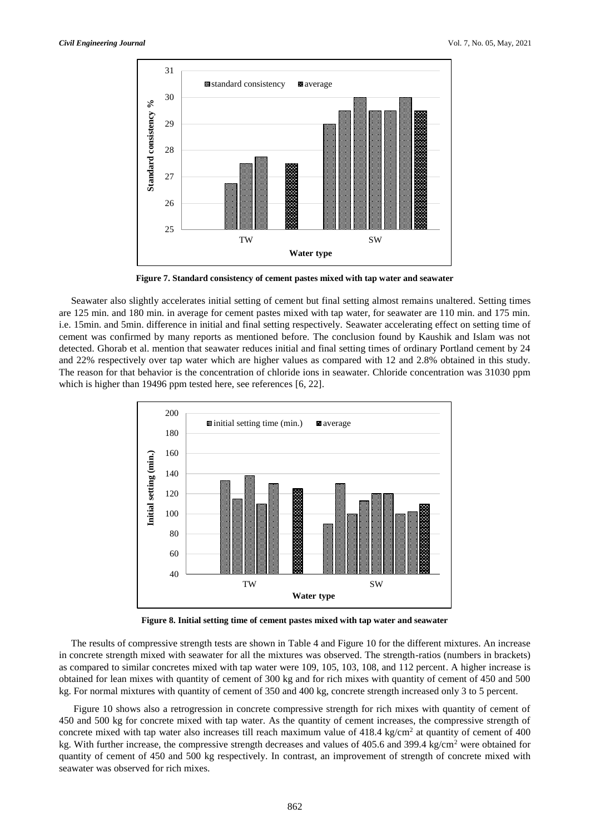

**Figure 7. Standard consistency of cement pastes mixed with tap water and seawater**

Seawater also slightly accelerates initial setting of cement but final setting almost remains unaltered. Setting times are 125 min. and 180 min. in average for cement pastes mixed with tap water, for seawater are 110 min. and 175 min. i.e. 15min. and 5min. difference in initial and final setting respectively. Seawater accelerating effect on setting time of cement was confirmed by many reports as mentioned before. The conclusion found by Kaushik and Islam was not detected. Ghorab et al. mention that seawater reduces initial and final setting times of ordinary Portland cement by 24 and 22% respectively over tap water which are higher values as compared with 12 and 2.8% obtained in this study. The reason for that behavior is the concentration of chloride ions in seawater. Chloride concentration was 31030 ppm which is higher than 19496 ppm tested here, see references [6, 22].



**Figure 8. Initial setting time of cement pastes mixed with tap water and seawater**

The results of compressive strength tests are shown in Table 4 and Figure 10 for the different mixtures. An increase in concrete strength mixed with seawater for all the mixtures was observed. The strength-ratios (numbers in brackets) as compared to similar concretes mixed with tap water were 109, 105, 103, 108, and 112 percent. A higher increase is obtained for lean mixes with quantity of cement of 300 kg and for rich mixes with quantity of cement of 450 and 500 kg. For normal mixtures with quantity of cement of 350 and 400 kg, concrete strength increased only 3 to 5 percent.

Figure 10 shows also a retrogression in concrete compressive strength for rich mixes with quantity of cement of 450 and 500 kg for concrete mixed with tap water. As the quantity of cement increases, the compressive strength of concrete mixed with tap water also increases till reach maximum value of  $418.4 \text{ kg/cm}^2$  at quantity of cement of  $400$ kg. With further increase, the compressive strength decreases and values of 405.6 and 399.4 kg/cm<sup>2</sup> were obtained for quantity of cement of 450 and 500 kg respectively. In contrast, an improvement of strength of concrete mixed with seawater was observed for rich mixes.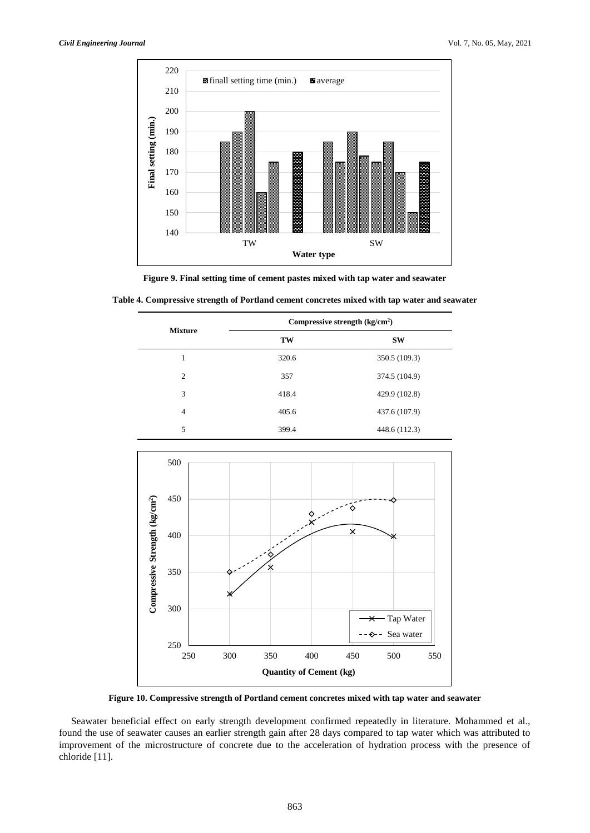

**Figure 9. Final setting time of cement pastes mixed with tap water and seawater**

|  | Table 4. Compressive strength of Portland cement concretes mixed with tap water and seawater |  |  |  |  |
|--|----------------------------------------------------------------------------------------------|--|--|--|--|
|--|----------------------------------------------------------------------------------------------|--|--|--|--|

| <b>Mixture</b> | Compressive strength $\frac{kg}{cm^2}$ |               |  |  |
|----------------|----------------------------------------|---------------|--|--|
|                | TW                                     | <b>SW</b>     |  |  |
| 1              | 320.6                                  | 350.5 (109.3) |  |  |
| $\overline{c}$ | 357                                    | 374.5 (104.9) |  |  |
| 3              | 418.4                                  | 429.9 (102.8) |  |  |
| $\overline{4}$ | 405.6                                  | 437.6 (107.9) |  |  |
| 5              | 399.4                                  | 448.6 (112.3) |  |  |



**Figure 10. Compressive strength of Portland cement concretes mixed with tap water and seawater**

Seawater beneficial effect on early strength development confirmed repeatedly in literature. Mohammed et al., found the use of seawater causes an earlier strength gain after 28 days compared to tap water which was attributed to improvement of the microstructure of concrete due to the acceleration of hydration process with the presence of chloride [11].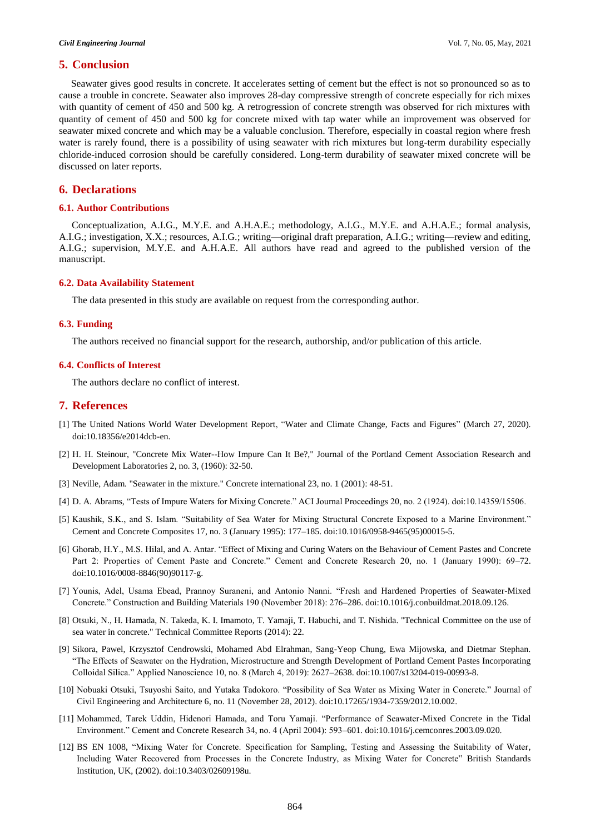#### **5. Conclusion**

Seawater gives good results in concrete. It accelerates setting of cement but the effect is not so pronounced so as to cause a trouble in concrete. Seawater also improves 28-day compressive strength of concrete especially for rich mixes with quantity of cement of 450 and 500 kg. A retrogression of concrete strength was observed for rich mixtures with quantity of cement of 450 and 500 kg for concrete mixed with tap water while an improvement was observed for seawater mixed concrete and which may be a valuable conclusion. Therefore, especially in coastal region where fresh water is rarely found, there is a possibility of using seawater with rich mixtures but long-term durability especially chloride-induced corrosion should be carefully considered. Long-term durability of seawater mixed concrete will be discussed on later reports.

## **6. Declarations**

#### **6.1. Author Contributions**

Conceptualization, A.I.G., M.Y.E. and A.H.A.E.; methodology, A.I.G., M.Y.E. and A.H.A.E.; formal analysis, A.I.G.; investigation, X.X.; resources, A.I.G.; writing—original draft preparation, A.I.G.; writing—review and editing, A.I.G.; supervision, M.Y.E. and A.H.A.E. All authors have read and agreed to the published version of the manuscript.

#### **6.2. Data Availability Statement**

The data presented in this study are available on request from the corresponding author.

#### **6.3. Funding**

The authors received no financial support for the research, authorship, and/or publication of this article.

#### **6.4. Conflicts of Interest**

The authors declare no conflict of interest.

## **7. References**

- [1] The United Nations World Water Development Report, "Water and Climate Change, Facts and Figures" (March 27, 2020). doi:10.18356/e2014dcb-en.
- [2] H. H. Steinour, "Concrete Mix Water--How Impure Can It Be?," Journal of the Portland Cement Association Research and Development Laboratories 2, no. 3, (1960): 32-50.
- [3] Neville, Adam. "Seawater in the mixture." Concrete international 23, no. 1 (2001): 48-51.
- [4] D. A. Abrams, "Tests of Impure Waters for Mixing Concrete." ACI Journal Proceedings 20, no. 2 (1924). doi:10.14359/15506.
- [5] Kaushik, S.K., and S. Islam. "Suitability of Sea Water for Mixing Structural Concrete Exposed to a Marine Environment." Cement and Concrete Composites 17, no. 3 (January 1995): 177–185. doi:10.1016/0958-9465(95)00015-5.
- [6] Ghorab, H.Y., M.S. Hilal, and A. Antar. "Effect of Mixing and Curing Waters on the Behaviour of Cement Pastes and Concrete Part 2: Properties of Cement Paste and Concrete." Cement and Concrete Research 20, no. 1 (January 1990): 69–72. doi:10.1016/0008-8846(90)90117-g.
- [7] Younis, Adel, Usama Ebead, Prannoy Suraneni, and Antonio Nanni. "Fresh and Hardened Properties of Seawater-Mixed Concrete." Construction and Building Materials 190 (November 2018): 276–286. doi:10.1016/j.conbuildmat.2018.09.126.
- [8] Otsuki, N., H. Hamada, N. Takeda, K. I. Imamoto, T. Yamaji, T. Habuchi, and T. Nishida. "Technical Committee on the use of sea water in concrete." Technical Committee Reports (2014): 22.
- [9] Sikora, Pawel, Krzysztof Cendrowski, Mohamed Abd Elrahman, Sang-Yeop Chung, Ewa Mijowska, and Dietmar Stephan. "The Effects of Seawater on the Hydration, Microstructure and Strength Development of Portland Cement Pastes Incorporating Colloidal Silica." Applied Nanoscience 10, no. 8 (March 4, 2019): 2627–2638. doi:10.1007/s13204-019-00993-8.
- [10] Nobuaki Otsuki, Tsuyoshi Saito, and Yutaka Tadokoro. "Possibility of Sea Water as Mixing Water in Concrete." Journal of Civil Engineering and Architecture 6, no. 11 (November 28, 2012). doi:10.17265/1934-7359/2012.10.002.
- [11] Mohammed, Tarek Uddin, Hidenori Hamada, and Toru Yamaji. "Performance of Seawater-Mixed Concrete in the Tidal Environment." Cement and Concrete Research 34, no. 4 (April 2004): 593–601. doi:10.1016/j.cemconres.2003.09.020.
- [12] BS EN 1008, "Mixing Water for Concrete. Specification for Sampling, Testing and Assessing the Suitability of Water, Including Water Recovered from Processes in the Concrete Industry, as Mixing Water for Concrete" British Standards Institution, UK, (2002). doi:10.3403/02609198u.